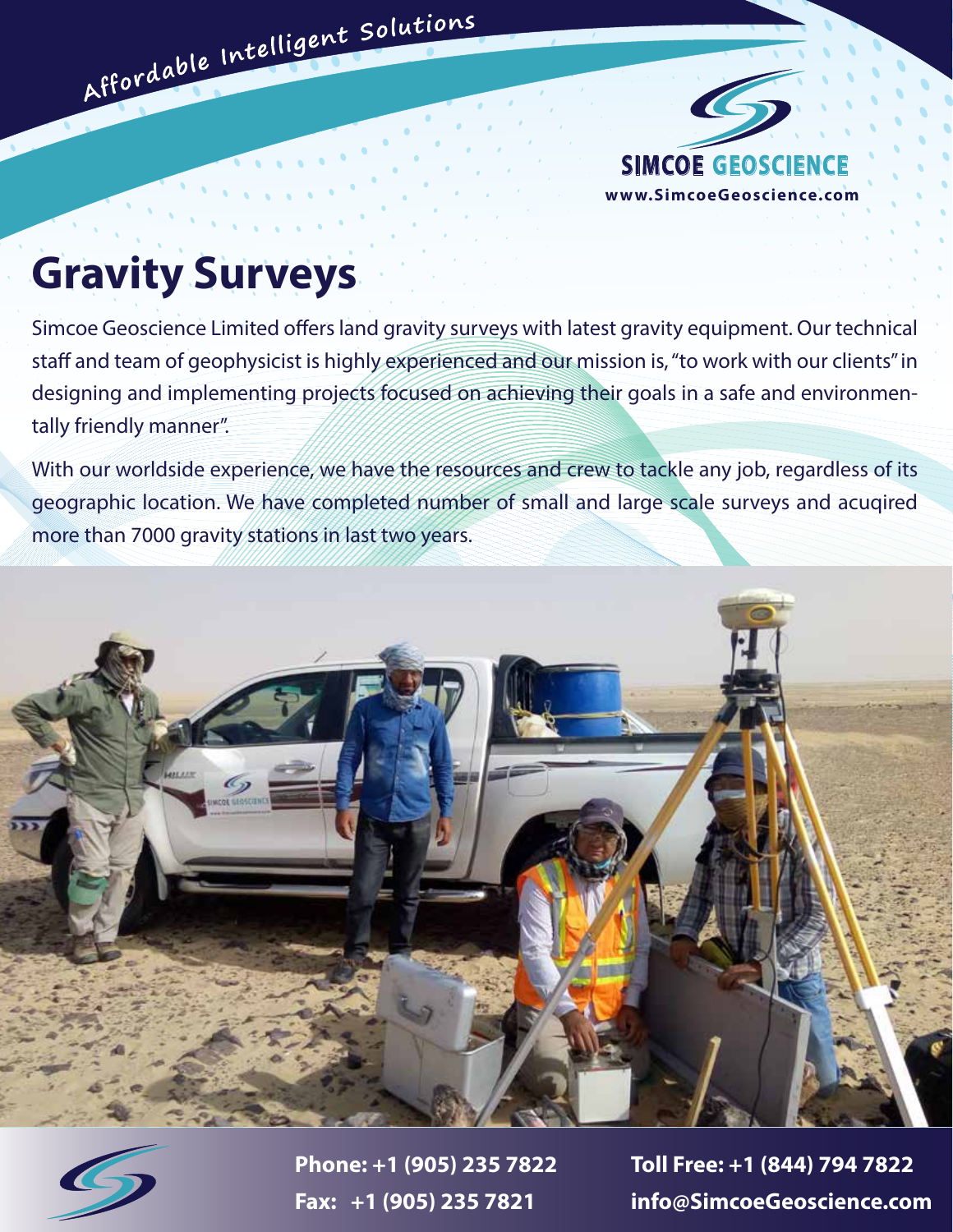

## **Gravity Surveys**

Affordable Intelligent Solutions

Simcoe Geoscience Limited offers land gravity surveys with latest gravity equipment. Our technical staff and team of geophysicist is highly experienced and our mission is, "to work with our clients" in designing and implementing projects focused on achieving their goals in a safe and environmentally friendly manner".

With our worldside experience, we have the resources and crew to tackle any job, regardless of its geographic location. We have completed number of small and large scale surveys and acuqired more than 7000 gravity stations in last two years.





**Phone: +1 (905) 235 7822 Toll Free: +1 (844) 794 7822 Fax: +1 (905) 235 7821 info@SimcoeGeoscience.com**